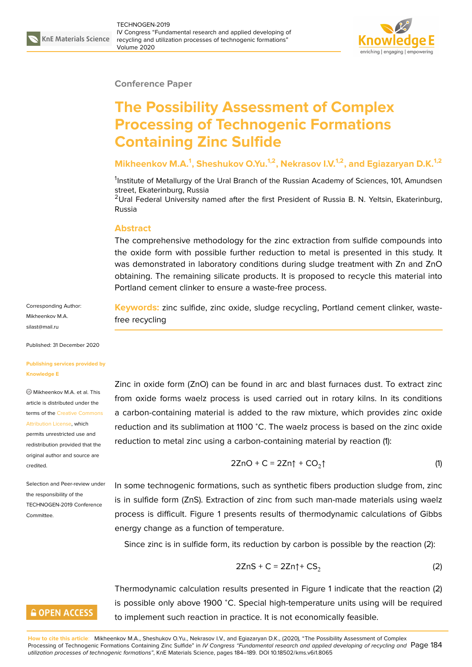

#### **Conference Paper**

# **The Possibility Assessment of Complex Processing of Technogenic Formations Containing Zinc Sulfide**

### **Mikheenkov M.A.<sup>1</sup> , Sheshukov O.Yu.1,2, Nekrasov I.V.1,2, and Egiazaryan D.K.1,2**

<sup>1</sup>Institute of Metallurgy of the Ural Branch of the Russian Academy of Sciences, 101, Amundsen street, Ekaterinburg, Russia

<sup>2</sup>Ural Federal University named after the first President of Russia B. N. Yeltsin, Ekaterinburg, Russia

#### **Abstract**

The comprehensive methodology for the zinc extraction from sulfide compounds into the oxide form with possible further reduction to metal is presented in this study. It was demonstrated in laboratory conditions during sludge treatment with Zn and ZnO obtaining. The remaining silicate products. It is proposed to recycle this material into Portland cement clinker to ensure a waste-free process.

**Keywords:** zinc sulfide, zinc oxide, sludge recycling, Portland cement clinker, wastefree recycling

Zinc in oxide form (ZnO) can be found in arc and blast furnaces dust. To extract zinc from oxide forms waelz process is used carried out in rotary kilns. In its conditions a carbon-containing material is added to the raw mixture, which provides zinc oxide reduction and its sublimation at 1100 <sup>∘</sup>C. The waelz process is based on the zinc oxide reduction to metal zinc using a carbon-containing material by reaction (1):

$$
2ZnO + C = 2Zn\uparrow + CO_2\uparrow
$$
 (1)

In some technogenic formations, such as synthetic fibers production sludge from, zinc is in sulfide form (ZnS). Extraction of zinc from such man-made materials using waelz process is difficult. Figure 1 presents results of thermodynamic calculations of Gibbs energy change as a function of temperature.

Since zinc is in sulfide form, its reduction by carbon is possible by the reaction (2):

$$
2ZnS + C = 2Zn\uparrow + CS_2 \tag{2}
$$

Thermodynamic calculation results presented in Figure 1 indicate that the reaction (2) is possible only above 1900 <sup>∘</sup>C. Special high-temperature units using will be required to implement such reaction in practice. It is not economically feasible.

**How to cite this article**: Mikheenkov M.A., Sheshukov O.Yu., Nekrasov I.V., and Egiazaryan D.K., (2020), "The Possibility Assessment of Complex Processing of Technogenic Formations Containing Zinc Sulfide" in IV Congress "Fundamental research and applied developing of recycling and Page 184 *utilization processes of technogenic formations"*, KnE Materials Science, pages 184–189. DOI 10.18502/kms.v6i1.8065

Corresponding Author: Mikheenkov M.A. silast@mail.ru

Published: 31 December 2020

#### **[Publishing se](mailto:silast@mail.ru)rvices provided by Knowledge E**

Mikheenkov M.A. et al. This article is distributed under the terms of the Creative Commons Attribution License, which

permits unrestricted use and redistribution provided that the original auth[or and source are](https://creativecommons.org/licenses/by/4.0/) [credited.](https://creativecommons.org/licenses/by/4.0/)

Selection and Peer-review under the responsibility of the TECHNOGEN-2019 Conference Committee.

### **GOPEN ACCESS**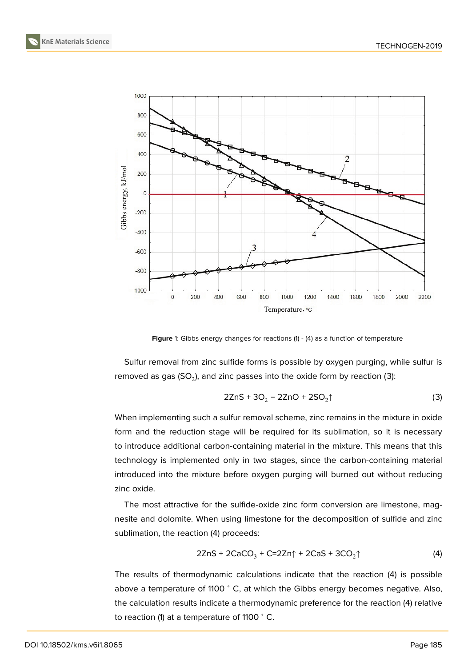



**Figure** 1: Gibbs energy changes for reactions (1) - (4) as a function of temperature

Sulfur removal from zinc sulfide forms is possible by oxygen purging, while sulfur is removed as gas (SO<sub>2</sub>), and zinc passes into the oxide form by reaction (3):

$$
2ZnS + 3O_2 = 2ZnO + 2SO_2\uparrow
$$
 (3)

When implementing such a sulfur removal scheme, zinc remains in the mixture in oxide form and the reduction stage will be required for its sublimation, so it is necessary to introduce additional carbon-containing material in the mixture. This means that this technology is implemented only in two stages, since the carbon-containing material introduced into the mixture before oxygen purging will burned out without reducing zinc oxide.

The most attractive for the sulfide-oxide zinc form conversion are limestone, magnesite and dolomite. When using limestone for the decomposition of sulfide and zinc sublimation, the reaction (4) proceeds:

$$
2ZnS + 2CaCO3 + C=2Zn\uparrow + 2CaS + 3CO2\uparrow
$$
 (4)

The results of thermodynamic calculations indicate that the reaction (4) is possible above a temperature of 1100 <sup>∘</sup> C, at which the Gibbs energy becomes negative. Also, the calculation results indicate a thermodynamic preference for the reaction (4) relative to reaction (1) at a temperature of 1100 °C.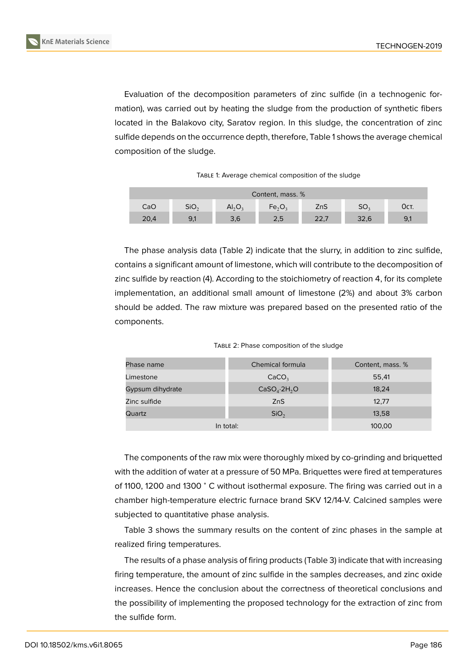

Evaluation of the decomposition parameters of zinc sulfide (in a technogenic formation), was carried out by heating the sludge from the production of synthetic fibers located in the Balakovo city, Saratov region. In this sludge, the concentration of zinc sulfide depends on the occurrence depth, therefore, Table 1 shows the average chemical composition of the sludge.

TABLE 1: Average chemical composition of the sludge

| Content, mass. % |                  |                                |           |      |                 |      |
|------------------|------------------|--------------------------------|-----------|------|-----------------|------|
| CaO              | SiO <sub>2</sub> | AI <sub>2</sub> O <sub>3</sub> | $Fe_2O_3$ | ZnS  | SO <sub>2</sub> | Ост. |
| 20,4             | 9,1              | 3,6                            | 2,5       | 22,7 | 32,6            | 9,1  |

The phase analysis data (Table 2) indicate that the slurry, in addition to zinc sulfide, contains a significant amount of limestone, which will contribute to the decomposition of zinc sulfide by reaction (4). According to the stoichiometry of reaction 4, for its complete implementation, an additional small amount of limestone (2%) and about 3% carbon should be added. The raw mixture was prepared based on the presented ratio of the components.

| TABLE 2: Phase composition of the sludge |  |  |  |
|------------------------------------------|--|--|--|
|------------------------------------------|--|--|--|

| Phase name       | Chemical formula                     | Content, mass. % |  |
|------------------|--------------------------------------|------------------|--|
| Limestone        | CaCO <sub>3</sub>                    | 55,41            |  |
| Gypsum dihydrate | CaSO <sub>4</sub> ·2H <sub>2</sub> O | 18,24            |  |
| Zinc sulfide     | ZnS                                  | 12,77            |  |
| Quartz           | SiO <sub>2</sub>                     | 13,58            |  |
| In total:        | 100,00                               |                  |  |

The components of the raw mix were thoroughly mixed by co-grinding and briquetted with the addition of water at a pressure of 50 MPa. Briquettes were fired at temperatures of 1100, 1200 and 1300 <sup>∘</sup> C without isothermal exposure. The firing was carried out in a chamber high-temperature electric furnace brand SKV 12/14-V. Calcined samples were subjected to quantitative phase analysis.

Table 3 shows the summary results on the content of zinc phases in the sample at realized firing temperatures.

The results of a phase analysis of firing products (Table 3) indicate that with increasing firing temperature, the amount of zinc sulfide in the samples decreases, and zinc oxide increases. Hence the conclusion about the correctness of theoretical conclusions and the possibility of implementing the proposed technology for the extraction of zinc from the sulfide form.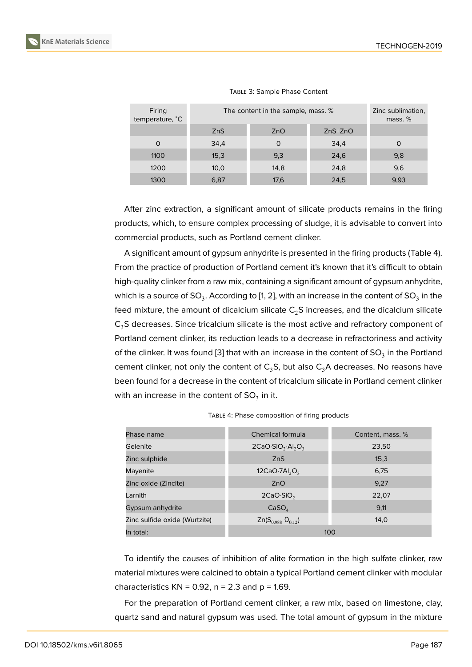| Firing<br>temperature, °C | The content in the sample, mass. % |      |           | Zinc sublimation,<br>mass. % |
|---------------------------|------------------------------------|------|-----------|------------------------------|
|                           | <b>ZnS</b>                         | ZnO  | $ZnS+ZnO$ |                              |
| O                         | 34,4                               | O    | 34,4      | O                            |
| 1100                      | 15,3                               | 9,3  | 24,6      | 9,8                          |
| 1200                      | 10,0                               | 14,8 | 24,8      | 9,6                          |
| 1300                      | 6,87                               | 17,6 | 24,5      | 9,93                         |

#### TABLE 3: Sample Phase Content

After zinc extraction, a significant amount of silicate products remains in the firing products, which, to ensure complex processing of sludge, it is advisable to convert into commercial products, such as Portland cement clinker.

A significant amount of gypsum anhydrite is presented in the firing products (Table 4). From the practice of production of Portland cement it's known that it's difficult to obtain high-quality clinker from a raw mix, containing a significant amount of gypsum anhydrite, which is a source of SO $_3$ . According to [1, 2], with an increase in the content of SO $_3$  in the feed mixture, the amount of dicalcium silicate  $C_2S$  increases, and the dicalcium silicate  $C_3$ S decreases. Since tricalcium silicate is the most active and refractory component of Portland cement clinker, its reduction l[e](#page-5-0)[ad](#page-5-1)s to a decrease in refractoriness and activity of the clinker. It was found [3] that with an increase in the content of SO<sub>3</sub> in the Portland cement clinker, not only the content of  $C_3S$ , but also  $C_3A$  decreases. No reasons have been found for a decrease in the content of tricalcium silicate in Portland cement clinker with an increase in the co[nte](#page-5-2)nt of SO $_3$  in it.

| Phase name                    | Chemical formula                          | Content, mass. % |  |
|-------------------------------|-------------------------------------------|------------------|--|
| Gelenite                      | $2CaO·SiO2·Al2O3$                         | 23,50            |  |
| Zinc sulphide                 | ZnS                                       | 15,3             |  |
| Mayenite                      | 12CaO·7Al <sub>2</sub> O <sub>3</sub>     | 6,75             |  |
| Zinc oxide (Zincite)          | ZnO                                       | 9.27             |  |
| Larnith                       | $2CaO-SiO2$                               | 22,07            |  |
| Gypsum anhydrite              | CaSO <sub>4</sub>                         | 9,11             |  |
| Zinc sulfide oxide (Wurtzite) | Zn(S <sub>0.988</sub> O <sub>0.12</sub> ) | 14,0             |  |
| In total:                     | 100                                       |                  |  |

TABLE 4: Phase composition of firing products

To identify the causes of inhibition of alite formation in the high sulfate clinker, raw material mixtures were calcined to obtain a typical Portland cement clinker with modular characteristics  $KN = 0.92$ ,  $n = 2.3$  and  $p = 1.69$ .

For the preparation of Portland cement clinker, a raw mix, based on limestone, clay, quartz sand and natural gypsum was used. The total amount of gypsum in the mixture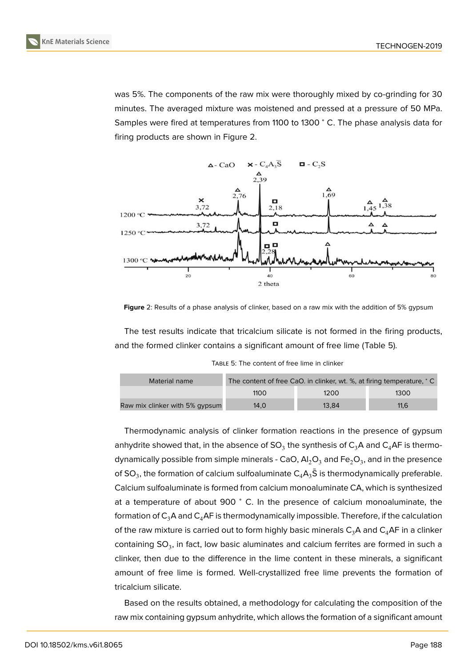was 5%. The components of the raw mix were thoroughly mixed by co-grinding for 30 minutes. The averaged mixture was moistened and pressed at a pressure of 50 MPa. Samples were fired at temperatures from 1100 to 1300 <sup>∘</sup> C. The phase analysis data for firing products are shown in Figure 2.



Figure 2: Results of a phase analysis of clinker, based on a raw mix with the addition of 5% gypsum

The test results indicate that tricalcium silicate is not formed in the firing products, and the formed clinker contains a significant amount of free lime (Table 5).

TABLE 5: The content of free lime in clinker

| Material name                  | The content of free CaO. in clinker, wt. %, at firing temperature, °C |       |      |  |
|--------------------------------|-----------------------------------------------------------------------|-------|------|--|
|                                | 1100                                                                  | 1200  | 1300 |  |
| Raw mix clinker with 5% gypsum | 14.0                                                                  | 13.84 | 11.6 |  |

Thermodynamic analysis of clinker formation reactions in the presence of gypsum anhydrite showed that, in the absence of SO $_3$  the synthesis of  $\mathsf{C}_3\mathsf{A}$  and  $\mathsf{C}_4\mathsf{A}\mathsf{F}$  is thermodynamically possible from simple minerals - CaO, Al $_2$ O $_3$  and Fe $_2$ O $_3$ , and in the presence of SO<sub>3</sub>, the formation of calcium sulfoaluminate  $\mathsf{C}_4\mathsf{A}_3\bar{\mathsf{S}}$  is thermodynamically preferable. Calcium sulfoaluminate is formed from calcium monoaluminate CA, which is synthesized at a temperature of about 900 <sup>∘</sup> C. In the presence of calcium monoaluminate, the formation of  $C_3A$  and  $C_4A$ F is thermodynamically impossible. Therefore, if the calculation of the raw mixture is carried out to form highly basic minerals  $C_3A$  and  $C_4AF$  in a clinker containing SO<sub>3</sub>, in fact, low basic aluminates and calcium ferrites are formed in such a clinker, then due to the difference in the lime content in these minerals, a significant amount of free lime is formed. Well-crystallized free lime prevents the formation of tricalcium silicate.

Based on the results obtained, a methodology for calculating the composition of the raw mix containing gypsum anhydrite, which allows the formation of a significant amount